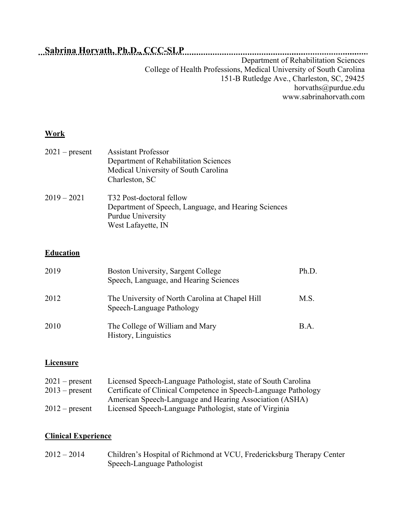# **Sabrina Horvath, Ph.D., CCC-SLP**

Department of Rehabilitation Sciences College of Health Professions, Medical University of South Carolina 151-B Rutledge Ave., Charleston, SC, 29425 horvaths@purdue.edu www.sabrinahorvath.com

#### **Work**

| $2021$ – present | <b>Assistant Professor</b><br>Department of Rehabilitation Sciences<br>Medical University of South Carolina<br>Charleston, SC |
|------------------|-------------------------------------------------------------------------------------------------------------------------------|
| $2019 - 2021$    | T32 Post-doctoral fellow<br>Department of Speech, Language, and Hearing Sciences<br>Purdue University<br>West Lafayette, IN   |

## **Education**

| 2019 | Boston University, Sargent College<br>Speech, Language, and Hearing Sciences | Ph.D. |
|------|------------------------------------------------------------------------------|-------|
| 2012 | The University of North Carolina at Chapel Hill<br>Speech-Language Pathology | M.S.  |
| 2010 | The College of William and Mary<br>History, Linguistics                      | B.A.  |

## **Licensure**

| $2021$ – present | Licensed Speech-Language Pathologist, state of South Carolina   |
|------------------|-----------------------------------------------------------------|
| $2013$ – present | Certificate of Clinical Competence in Speech-Language Pathology |
|                  | American Speech-Language and Hearing Association (ASHA)         |
| $2012$ – present | Licensed Speech-Language Pathologist, state of Virginia         |

# **Clinical Experience**

| $2012 - 2014$ | Children's Hospital of Richmond at VCU, Fredericksburg Therapy Center |
|---------------|-----------------------------------------------------------------------|
|               | Speech-Language Pathologist                                           |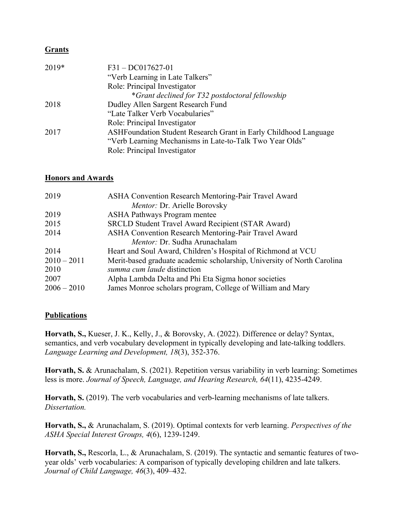#### **Grants**

| $F31 - DCO17627-01$                                              |
|------------------------------------------------------------------|
| "Verb Learning in Late Talkers"                                  |
| Role: Principal Investigator                                     |
| *Grant declined for T32 postdoctoral fellowship                  |
| Dudley Allen Sargent Research Fund                               |
| "Late Talker Verb Vocabularies"                                  |
| Role: Principal Investigator                                     |
| ASHFoundation Student Research Grant in Early Childhood Language |
| "Verb Learning Mechanisms in Late-to-Talk Two Year Olds"         |
| Role: Principal Investigator                                     |
|                                                                  |

#### **Honors and Awards**

| 2019          | ASHA Convention Research Mentoring-Pair Travel Award                    |
|---------------|-------------------------------------------------------------------------|
|               | Mentor: Dr. Arielle Borovsky                                            |
| 2019          | <b>ASHA Pathways Program mentee</b>                                     |
| 2015          | <b>SRCLD Student Travel Award Recipient (STAR Award)</b>                |
| 2014          | ASHA Convention Research Mentoring-Pair Travel Award                    |
|               | Mentor: Dr. Sudha Arunachalam                                           |
| 2014          | Heart and Soul Award, Children's Hospital of Richmond at VCU            |
| $2010 - 2011$ | Merit-based graduate academic scholarship, University of North Carolina |
| 2010          | summa cum laude distinction                                             |
| 2007          | Alpha Lambda Delta and Phi Eta Sigma honor societies                    |
| $2006 - 2010$ | James Monroe scholars program, College of William and Mary              |

#### **Publications**

**Horvath, S.,** Kueser, J. K., Kelly, J., & Borovsky, A. (2022). Difference or delay? Syntax, semantics, and verb vocabulary development in typically developing and late-talking toddlers. *Language Learning and Development, 18*(3), 352-376.

**Horvath, S.** & Arunachalam, S. (2021). Repetition versus variability in verb learning: Sometimes less is more. *Journal of Speech, Language, and Hearing Research, 64*(11), 4235-4249.

Horvath, S. (2019). The verb vocabularies and verb-learning mechanisms of late talkers. *Dissertation.*

**Horvath, S.,** & Arunachalam, S. (2019). Optimal contexts for verb learning. *Perspectives of the ASHA Special Interest Groups, 4*(6), 1239-1249.

**Horvath, S.,** Rescorla, L., & Arunachalam, S. (2019). The syntactic and semantic features of twoyear olds' verb vocabularies: A comparison of typically developing children and late talkers. *Journal of Child Language, 46*(3), 409–432.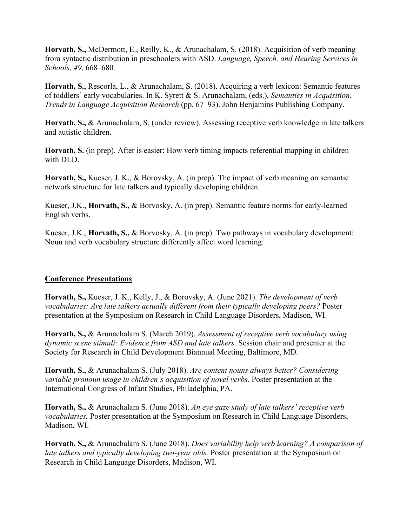**Horvath, S.,** McDermott, E., Reilly, K., & Arunachalam, S. (2018). Acquisition of verb meaning from syntactic distribution in preschoolers with ASD. *Language, Speech, and Hearing Services in Schools, 49,* 668–680*.*

**Horvath, S.,** Rescorla, L., & Arunachalam, S. (2018). Acquiring a verb lexicon: Semantic features of toddlers' early vocabularies. In K. Syrett & S. Arunachalam, (eds.), *Semantics in Acquisition, Trends in Language Acquisition Research* (pp. 67–93). John Benjamins Publishing Company.

**Horvath, S.,** & Arunachalam, S. (under review). Assessing receptive verb knowledge in late talkers and autistic children.

**Horvath, S.** (in prep). After is easier: How verb timing impacts referential mapping in children with DLD.

**Horvath, S.,** Kueser, J. K., & Borovsky, A. (in prep). The impact of verb meaning on semantic network structure for late talkers and typically developing children.

Kueser, J.K., **Horvath, S.,** & Borvosky, A. (in prep). Semantic feature norms for early-learned English verbs.

Kueser, J.K., **Horvath, S.,** & Borvosky, A. (in prep). Two pathways in vocabulary development: Noun and verb vocabulary structure differently affect word learning.

#### **Conference Presentations**

**Horvath, S.,** Kueser, J. K., Kelly, J., & Borovsky, A. (June 2021). *The development of verb vocabularies: Are late talkers actually different from their typically developing peers?* Poster presentation at the Symposium on Research in Child Language Disorders, Madison, WI.

**Horvath, S.,** & Arunachalam S. (March 2019). *Assessment of receptive verb vocabulary using dynamic scene stimuli: Evidence from ASD and late talkers.* Session chair and presenter at the Society for Research in Child Development Biannual Meeting, Baltimore, MD.

**Horvath, S.,** & Arunachalam S. (July 2018). *Are content nouns always better? Considering variable pronoun usage in children's acquisition of novel verbs.* Poster presentation at the International Congress of Infant Studies, Philadelphia, PA.

**Horvath, S.,** & Arunachalam S. (June 2018). *An eye gaze study of late talkers' receptive verb vocabularies.* Poster presentation at the Symposium on Research in Child Language Disorders, Madison, WI.

**Horvath, S.,** & Arunachalam S. (June 2018). *Does variability help verb learning? A comparison of late talkers and typically developing two-year olds.* Poster presentation at the Symposium on Research in Child Language Disorders, Madison, WI.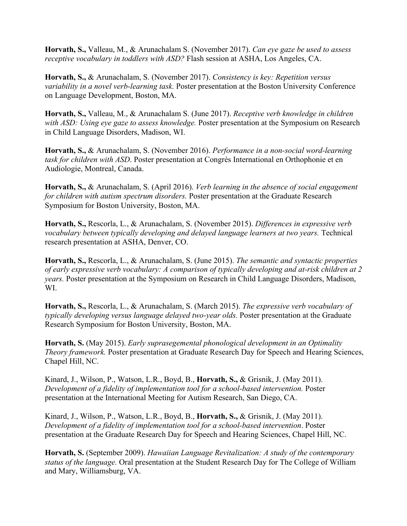**Horvath, S.,** Valleau, M., & Arunachalam S. (November 2017). *Can eye gaze be used to assess receptive vocabulary in toddlers with ASD?* Flash session at ASHA, Los Angeles, CA.

**Horvath, S.,** & Arunachalam, S. (November 2017). *Consistency is key: Repetition versus variability in a novel verb-learning task.* Poster presentation at the Boston University Conference on Language Development, Boston, MA.

**Horvath, S.,** Valleau, M., & Arunachalam S. (June 2017). *Receptive verb knowledge in children with ASD: Using eye gaze to assess knowledge.* Poster presentation at the Symposium on Research in Child Language Disorders, Madison, WI.

**Horvath, S.,** & Arunachalam, S. (November 2016). *Performance in a non-social word-learning task for children with ASD*. Poster presentation at Congrès International en Orthophonie et en Audiologie, Montreal, Canada.

**Horvath, S.,** & Arunachalam, S. (April 2016). *Verb learning in the absence of social engagement for children with autism spectrum disorders.* Poster presentation at the Graduate Research Symposium for Boston University, Boston, MA.

**Horvath, S.,** Rescorla, L., & Arunachalam, S. (November 2015). *Differences in expressive verb vocabulary between typically developing and delayed language learners at two years.* Technical research presentation at ASHA, Denver, CO.

**Horvath, S.,** Rescorla, L., & Arunachalam, S. (June 2015). *The semantic and syntactic properties of early expressive verb vocabulary: A comparison of typically developing and at-risk children at 2 years.* Poster presentation at the Symposium on Research in Child Language Disorders, Madison, WI.

**Horvath, S.,** Rescorla, L., & Arunachalam, S. (March 2015). *The expressive verb vocabulary of typically developing versus language delayed two-year olds.* Poster presentation at the Graduate Research Symposium for Boston University, Boston, MA.

**Horvath, S.** (May 2015). *Early suprasegemental phonological development in an Optimality Theory framework.* Poster presentation at Graduate Research Day for Speech and Hearing Sciences, Chapel Hill, NC.

Kinard, J., Wilson, P., Watson, L.R., Boyd, B., **Horvath, S.,** & Grisnik, J. (May 2011). *Development of a fidelity of implementation tool for a school-based intervention.* Poster presentation at the International Meeting for Autism Research, San Diego, CA.

Kinard, J., Wilson, P., Watson, L.R., Boyd, B., **Horvath, S.,** & Grisnik, J. (May 2011). *Development of a fidelity of implementation tool for a school-based intervention*. Poster presentation at the Graduate Research Day for Speech and Hearing Sciences, Chapel Hill, NC.

**Horvath, S.** (September 2009). *Hawaiian Language Revitalization: A study of the contemporary status of the language.* Oral presentation at the Student Research Day for The College of William and Mary, Williamsburg, VA.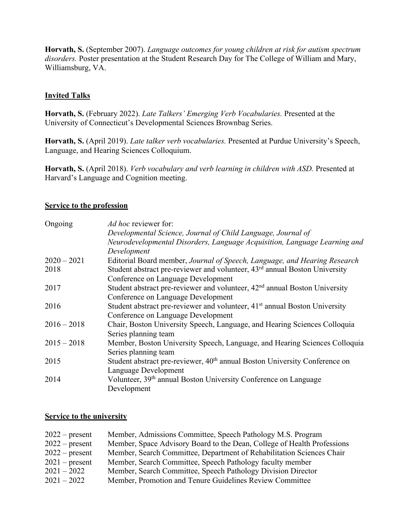**Horvath, S.** (September 2007). *Language outcomes for young children at risk for autism spectrum disorders.* Poster presentation at the Student Research Day for The College of William and Mary, Williamsburg, VA.

#### **Invited Talks**

**Horvath, S.** (February 2022). *Late Talkers' Emerging Verb Vocabularies.* Presented at the University of Connecticut's Developmental Sciences Brownbag Series.

**Horvath, S.** (April 2019). *Late talker verb vocabularies.* Presented at Purdue University's Speech, Language, and Hearing Sciences Colloquium.

**Horvath, S.** (April 2018). *Verb vocabulary and verb learning in children with ASD.* Presented at Harvard's Language and Cognition meeting.

#### **Service to the profession**

| Ongoing       | <i>Ad hoc reviewer for:</i>                                                            |
|---------------|----------------------------------------------------------------------------------------|
|               | Developmental Science, Journal of Child Language, Journal of                           |
|               | Neurodevelopmental Disorders, Language Acquisition, Language Learning and              |
|               | Development                                                                            |
| $2020 - 2021$ | Editorial Board member, Journal of Speech, Language, and Hearing Research              |
| 2018          | Student abstract pre-reviewer and volunteer, 43 <sup>rd</sup> annual Boston University |
|               | Conference on Language Development                                                     |
| 2017          | Student abstract pre-reviewer and volunteer, 42 <sup>nd</sup> annual Boston University |
|               | Conference on Language Development                                                     |
| 2016          | Student abstract pre-reviewer and volunteer, 41 <sup>st</sup> annual Boston University |
|               | Conference on Language Development                                                     |
| $2016 - 2018$ | Chair, Boston University Speech, Language, and Hearing Sciences Colloquia              |
|               | Series planning team                                                                   |
| $2015 - 2018$ | Member, Boston University Speech, Language, and Hearing Sciences Colloquia             |
|               | Series planning team                                                                   |
| 2015          | Student abstract pre-reviewer, 40 <sup>th</sup> annual Boston University Conference on |
|               | Language Development                                                                   |
| 2014          | Volunteer, 39 <sup>th</sup> annual Boston University Conference on Language            |
|               | Development                                                                            |

#### **Service to the university**

| $2022$ – present | Member, Admissions Committee, Speech Pathology M.S. Program             |
|------------------|-------------------------------------------------------------------------|
| $2022$ – present | Member, Space Advisory Board to the Dean, College of Health Professions |
| $2022$ – present | Member, Search Committee, Department of Rehabilitation Sciences Chair   |
| $2021$ – present | Member, Search Committee, Speech Pathology faculty member               |
| $2021 - 2022$    | Member, Search Committee, Speech Pathology Division Director            |
| $2021 - 2022$    | Member, Promotion and Tenure Guidelines Review Committee                |